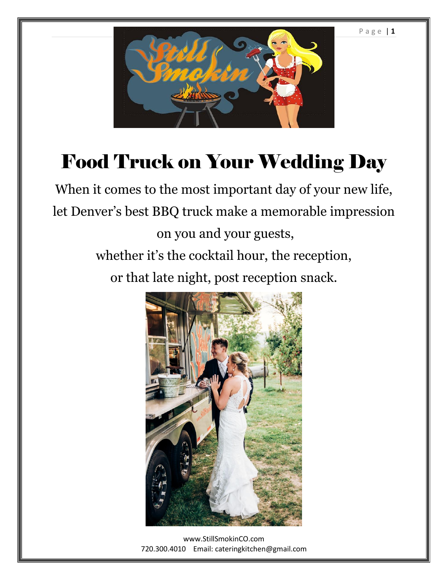P a g e | **1**



# Food Truck on Your Wedding Day

When it comes to the most important day of your new life, let Denver's best BBQ truck make a memorable impression on you and your guests, whether it's the cocktail hour, the reception, or that late night, post reception snack.



[www.StillSmokinCO.com](http://www.stillsmokinco.com/) 720.300.4010 Email: cateringkitchen@gmail.com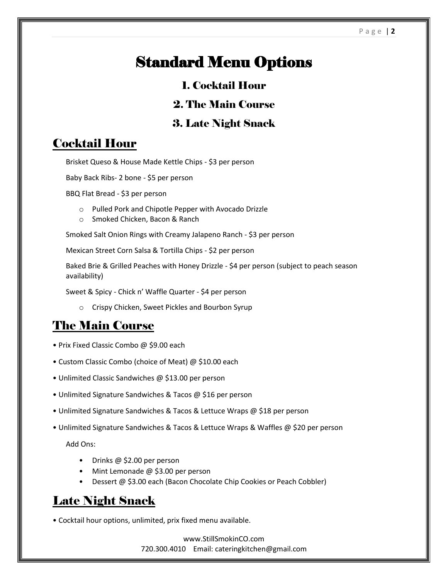## Standard Menu Options

#### 1. Cocktail Hour

#### 2. The Main Course

#### 3. Late Night Snack

#### Cocktail Hour

Brisket Queso & House Made Kettle Chips - \$3 per person

Baby Back Ribs- 2 bone - \$5 per person

BBQ Flat Bread - \$3 per person

- o Pulled Pork and Chipotle Pepper with Avocado Drizzle
- o Smoked Chicken, Bacon & Ranch

Smoked Salt Onion Rings with Creamy Jalapeno Ranch - \$3 per person

Mexican Street Corn Salsa & Tortilla Chips - \$2 per person

Baked Brie & Grilled Peaches with Honey Drizzle - \$4 per person (subject to peach season availability)

Sweet & Spicy - Chick n' Waffle Quarter - \$4 per person

o Crispy Chicken, Sweet Pickles and Bourbon Syrup

#### The Main Course

- Prix Fixed Classic Combo @ \$9.00 each
- Custom Classic Combo (choice of Meat) @ \$10.00 each
- Unlimited Classic Sandwiches @ \$13.00 per person
- Unlimited Signature Sandwiches & Tacos @ \$16 per person
- Unlimited Signature Sandwiches & Tacos & Lettuce Wraps @ \$18 per person
- Unlimited Signature Sandwiches & Tacos & Lettuce Wraps & Waffles @ \$20 per person

Add Ons:

- Drinks @ \$2.00 per person
- Mint Lemonade @ \$3.00 per person
- Dessert @ \$3.00 each (Bacon Chocolate Chip Cookies or Peach Cobbler)

#### Late Night Snack

• Cocktail hour options, unlimited, prix fixed menu available.

[www.StillSmokinCO.com](http://www.stillsmokinco.com/) 720.300.4010 Email: cateringkitchen@gmail.com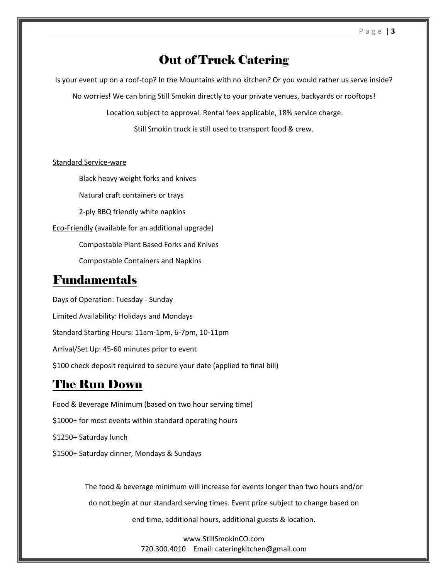#### Out of Truck Catering

Is your event up on a roof-top? In the Mountains with no kitchen? Or you would rather us serve inside?

No worries! We can bring Still Smokin directly to your private venues, backyards or rooftops!

Location subject to approval. Rental fees applicable, 18% service charge.

Still Smokin truck is still used to transport food & crew.

#### Standard Service-ware

Black heavy weight forks and knives

Natural craft containers or trays

2-ply BBQ friendly white napkins

Eco-Friendly (available for an additional upgrade)

Compostable Plant Based Forks and Knives

Compostable Containers and Napkins

#### Fundamentals

Days of Operation: Tuesday - Sunday Limited Availability: Holidays and Mondays Standard Starting Hours: 11am-1pm, 6-7pm, 10-11pm Arrival/Set Up: 45-60 minutes prior to event \$100 check deposit required to secure your date (applied to final bill)

### The Run Down

Food & Beverage Minimum (based on two hour serving time) \$1000+ for most events within standard operating hours \$1250+ Saturday lunch \$1500+ Saturday dinner, Mondays & Sundays

> The food & beverage minimum will increase for events longer than two hours and/or do not begin at our standard serving times. Event price subject to change based on end time, additional hours, additional guests & location.

> > [www.StillSmokinCO.com](http://www.stillsmokinco.com/) 720.300.4010 Email: cateringkitchen@gmail.com